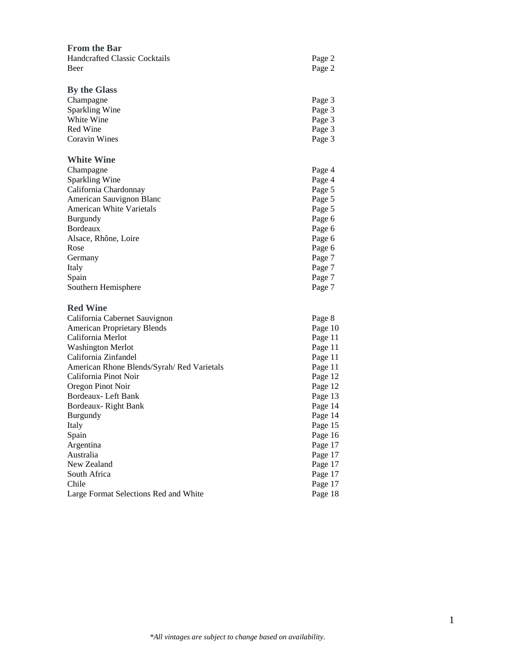| <b>From the Bar</b>                       |         |
|-------------------------------------------|---------|
| <b>Handcrafted Classic Cocktails</b>      | Page 2  |
| Beer                                      | Page 2  |
|                                           |         |
| <b>By the Glass</b>                       |         |
| Champagne                                 | Page 3  |
| <b>Sparkling Wine</b>                     | Page 3  |
| White Wine                                | Page 3  |
| Red Wine                                  | Page 3  |
| <b>Coravin Wines</b>                      | Page 3  |
| <b>White Wine</b>                         |         |
| Champagne                                 | Page 4  |
| Sparkling Wine                            | Page 4  |
| California Chardonnay                     | Page 5  |
| American Sauvignon Blanc                  | Page 5  |
| American White Varietals                  | Page 5  |
| Burgundy                                  | Page 6  |
| Bordeaux                                  | Page 6  |
| Alsace, Rhône, Loire                      | Page 6  |
| Rose                                      | Page 6  |
| Germany                                   | Page 7  |
| Italy                                     | Page 7  |
| Spain                                     | Page 7  |
| Southern Hemisphere                       | Page 7  |
| <b>Red Wine</b>                           |         |
| California Cabernet Sauvignon             | Page 8  |
| <b>American Proprietary Blends</b>        | Page 10 |
| California Merlot                         | Page 11 |
| <b>Washington Merlot</b>                  | Page 11 |
| California Zinfandel                      | Page 11 |
| American Rhone Blends/Syrah/Red Varietals | Page 11 |
| California Pinot Noir                     | Page 12 |
| Oregon Pinot Noir                         | Page 12 |
| Bordeaux- Left Bank                       | Page 13 |
| Bordeaux-Right Bank                       | Page 14 |
| Burgundy                                  | Page 14 |
| Italy                                     | Page 15 |
| Spain                                     | Page 16 |
| Argentina                                 | Page 17 |
| Australia                                 | Page 17 |
| New Zealand                               | Page 17 |
| South Africa                              | Page 17 |
| Chile                                     | Page 17 |
| Large Format Selections Red and White     | Page 18 |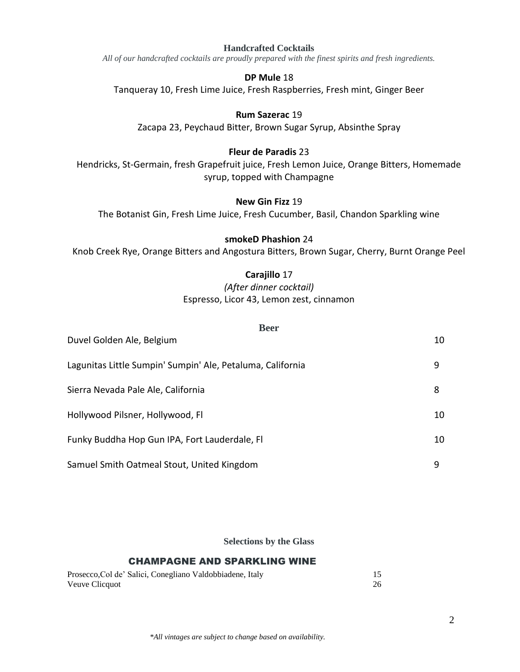#### **Handcrafted Cocktails**

*All of our handcrafted cocktails are proudly prepared with the finest spirits and fresh ingredients.*

#### **DP Mule** 18

Tanqueray 10, Fresh Lime Juice, Fresh Raspberries, Fresh mint, Ginger Beer

#### **Rum Sazerac** 19

Zacapa 23, Peychaud Bitter, Brown Sugar Syrup, Absinthe Spray

### **Fleur de Paradis** 23

Hendricks, St-Germain, fresh Grapefruit juice, Fresh Lemon Juice, Orange Bitters, Homemade syrup, topped with Champagne

#### **New Gin Fizz** 19

The Botanist Gin, Fresh Lime Juice, Fresh Cucumber, Basil, Chandon Sparkling wine

# **smokeD Phashion** 24

Knob Creek Rye, Orange Bitters and Angostura Bitters, Brown Sugar, Cherry, Burnt Orange Peel

### **Carajillo** 17

# *(After dinner cocktail)* Espresso, Licor 43, Lemon zest, cinnamon

#### **Beer**

| Duvel Golden Ale, Belgium                                  | 10 |
|------------------------------------------------------------|----|
| Lagunitas Little Sumpin' Sumpin' Ale, Petaluma, California | 9  |
| Sierra Nevada Pale Ale, California                         | 8  |
| Hollywood Pilsner, Hollywood, Fl                           | 10 |
| Funky Buddha Hop Gun IPA, Fort Lauderdale, Fl              | 10 |
| Samuel Smith Oatmeal Stout, United Kingdom                 | 9  |

**Selections by the Glass**

### CHAMPAGNE AND SPARKLING WINE

|                | Prosecco, Col de' Salici, Conegliano Valdobbiadene, Italy |  |
|----------------|-----------------------------------------------------------|--|
| Veuve Clicquot |                                                           |  |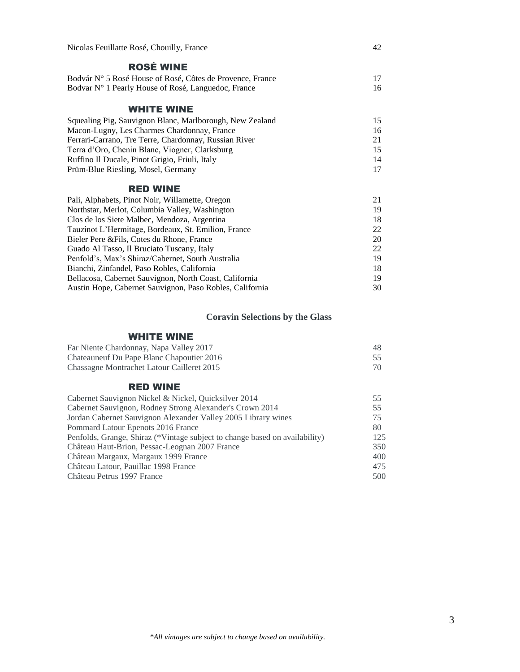| Nicolas Feuillatte Rosé, Chouilly, France                 | 42 |
|-----------------------------------------------------------|----|
| <b>ROSÉ WINE</b>                                          |    |
| Bodvár N° 5 Rosé House of Rosé, Côtes de Provence, France | 17 |
| Bodvar N° 1 Pearly House of Rosé, Languedoc, France       | 16 |
| <b>WHITE WINE</b>                                         |    |
| Squealing Pig, Sauvignon Blanc, Marlborough, New Zealand  | 15 |
| Macon-Lugny, Les Charmes Chardonnay, France               | 16 |
| Ferrari-Carrano, Tre Terre, Chardonnay, Russian River     | 21 |
| Terra d'Oro, Chenin Blanc, Viogner, Clarksburg            | 15 |
| Ruffino Il Ducale, Pinot Grigio, Friuli, Italy            | 14 |
| Prüm-Blue Riesling, Mosel, Germany                        | 17 |
| <b>RED WINE</b>                                           |    |
| Pali, Alphabets, Pinot Noir, Willamette, Oregon           | 21 |
| Northstar, Merlot, Columbia Valley, Washington            | 19 |
| Clos de los Siete Malbec, Mendoza, Argentina              | 18 |
| Tauzinot L'Hermitage, Bordeaux, St. Emilion, France       | 22 |
| Bieler Pere & Fils, Cotes du Rhone, France                | 20 |
| Guado Al Tasso, Il Bruciato Tuscany, Italy                | 22 |

| ———————————————————————————————                          |     |
|----------------------------------------------------------|-----|
| Guado Al Tasso, Il Bruciato Tuscany, Italy               | 22. |
| Penfold's, Max's Shiraz/Cabernet, South Australia        | 19. |
| Bianchi, Zinfandel, Paso Robles, California              |     |
| Bellacosa, Cabernet Sauvignon, North Coast, California   | 19. |
| Austin Hope, Cabernet Sauvignon, Paso Robles, California | 30. |
|                                                          |     |

## **Coravin Selections by the Glass**

#### WHITE WINE

| Far Niente Chardonnay, Napa Valley 2017    | 48 |
|--------------------------------------------|----|
| Chateauneuf Du Pape Blanc Chapoutier 2016  |    |
| Chassagne Montrachet Latour Cailleret 2015 |    |

### RED WINE

| Cabernet Sauvignon Nickel & Nickel, Quicksilver 2014                        | 55  |
|-----------------------------------------------------------------------------|-----|
| Cabernet Sauvignon, Rodney Strong Alexander's Crown 2014                    | 55  |
| Jordan Cabernet Sauvignon Alexander Valley 2005 Library wines               | 75  |
| Pommard Latour Epenots 2016 France                                          | 80  |
| Penfolds, Grange, Shiraz (*Vintage subject to change based on availability) | 125 |
| Château Haut-Brion, Pessac-Leognan 2007 France                              | 350 |
| Château Margaux, Margaux 1999 France                                        | 400 |
| Château Latour, Pauillac 1998 France                                        | 475 |
| Château Petrus 1997 France                                                  | 500 |
|                                                                             |     |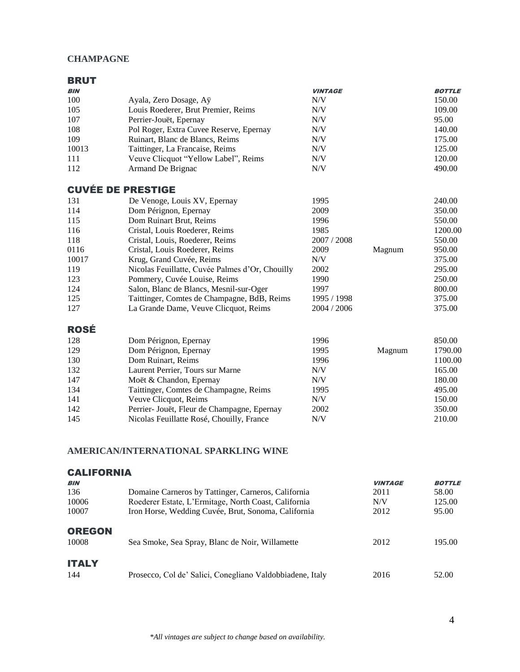### **CHAMPAGNE**

| <b>BRUT</b> |                                                 |                                                             |        |               |
|-------------|-------------------------------------------------|-------------------------------------------------------------|--------|---------------|
| <b>BIN</b>  |                                                 | <b>VINTAGE</b>                                              |        | <b>BOTTLE</b> |
| 100         | Ayala, Zero Dosage, Aÿ                          | N/V                                                         |        | 150.00        |
| 105         | Louis Roederer, Brut Premier, Reims             | $\ensuremath{\text{N}}\xspace/\ensuremath{\text{V}}\xspace$ |        | 109.00        |
| 107         | Perrier-Jouët, Epernay                          | $\ensuremath{\text{N}}\xspace/\ensuremath{\text{V}}\xspace$ |        | 95.00         |
| 108         | Pol Roger, Extra Cuvee Reserve, Epernay         | $\ensuremath{\text{N}}\xspace/\ensuremath{\text{V}}\xspace$ |        | 140.00        |
| 109         | Ruinart, Blanc de Blancs, Reims                 | $\ensuremath{\text{N}}\xspace/\ensuremath{\text{V}}\xspace$ |        | 175.00        |
| 10013       | Taittinger, La Francaise, Reims                 | $\ensuremath{\text{N}}\xspace/\ensuremath{\text{V}}\xspace$ |        | 125.00        |
| 111         | Veuve Clicquot "Yellow Label", Reims            | N/V                                                         |        | 120.00        |
| 112         | Armand De Brignac                               | N/V                                                         |        | 490.00        |
|             | <b>CUVÉE DE PRESTIGE</b>                        |                                                             |        |               |
| 131         | De Venoge, Louis XV, Epernay                    | 1995                                                        |        | 240.00        |
| 114         | Dom Pérignon, Epernay                           | 2009                                                        |        | 350.00        |
| 115         | Dom Ruinart Brut, Reims                         | 1996                                                        |        | 550.00        |
| 116         | Cristal, Louis Roederer, Reims                  | 1985                                                        |        | 1200.00       |
| 118         | Cristal, Louis, Roederer, Reims                 | 2007 / 2008                                                 |        | 550.00        |
| 0116        | Cristal, Louis Roederer, Reims                  | 2009                                                        | Magnum | 950.00        |
| 10017       | Krug, Grand Cuvée, Reims                        | N/V                                                         |        | 375.00        |
| 119         | Nicolas Feuillatte, Cuvée Palmes d'Or, Chouilly | 2002                                                        |        | 295.00        |
| 123         | Pommery, Cuvée Louise, Reims                    | 1990                                                        |        | 250.00        |
| 124         | Salon, Blanc de Blancs, Mesnil-sur-Oger         | 1997                                                        |        | 800.00        |
| 125         | Taittinger, Comtes de Champagne, BdB, Reims     | 1995 / 1998                                                 |        | 375.00        |
| 127         | La Grande Dame, Veuve Clicquot, Reims           | 2004 / 2006                                                 |        | 375.00        |
| <b>ROSÉ</b> |                                                 |                                                             |        |               |
| 128         | Dom Pérignon, Epernay                           | 1996                                                        |        | 850.00        |
| 129         | Dom Pérignon, Epernay                           | 1995                                                        | Magnum | 1790.00       |
| 130         | Dom Ruinart, Reims                              | 1996                                                        |        | 1100.00       |
| 132         | Laurent Perrier, Tours sur Marne                | N/V                                                         |        | 165.00        |
| 147         | Moët & Chandon, Epernay                         | N/V                                                         |        | 180.00        |
| 134         | Taittinger, Comtes de Champagne, Reims          | 1995                                                        |        | 495.00        |
| 141         | Veuve Clicquot, Reims                           | $N\!/\!V$                                                   |        | 150.00        |
| 142         | Perrier- Jouët, Fleur de Champagne, Epernay     | 2002                                                        |        | 350.00        |
| 145         | Nicolas Feuillatte Rosé, Chouilly, France       | N/V                                                         |        | 210.00        |

# **AMERICAN/INTERNATIONAL SPARKLING WINE**

| <b>CALIFORNIA</b><br><b>BIN</b> |                                                           | <b>VINTAGE</b> | <b>BOTTLE</b> |
|---------------------------------|-----------------------------------------------------------|----------------|---------------|
| 136                             | Domaine Carneros by Tattinger, Carneros, California       | 2011           | 58.00         |
| 10006                           | Roederer Estate, L'Ermitage, North Coast, California      | N/V            | 125.00        |
| 10007                           | Iron Horse, Wedding Cuvée, Brut, Sonoma, California       | 2012           | 95.00         |
| <b>OREGON</b><br>10008          | Sea Smoke, Sea Spray, Blanc de Noir, Willamette           | 2012           | 195.00        |
| <b>ITALY</b><br>144             | Prosecco, Col de' Salici, Conegliano Valdobbiadene, Italy | 2016           | 52.00         |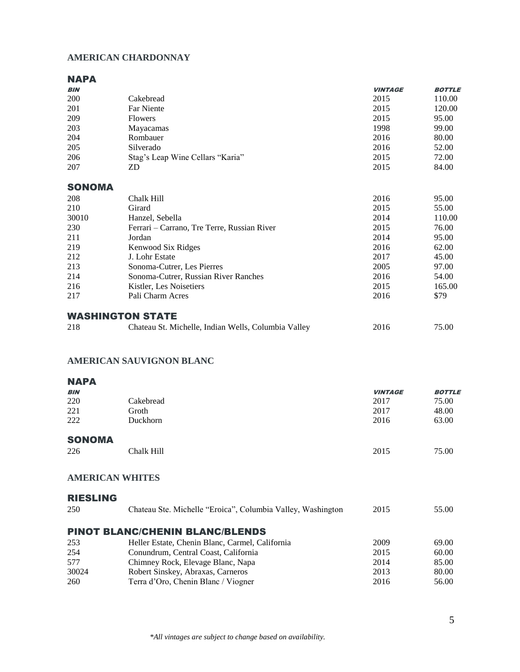# **AMERICAN CHARDONNAY**

#### NAPA

| <b>BIN</b>              |                                                     | <b>VINTAGE</b> | <b>BOTTLE</b> |
|-------------------------|-----------------------------------------------------|----------------|---------------|
| 200                     | Cakebread                                           | 2015           | 110.00        |
| 201                     | <b>Far Niente</b>                                   | 2015           | 120.00        |
| 209                     | <b>Flowers</b>                                      | 2015           | 95.00         |
| 203                     | Mayacamas                                           | 1998           | 99.00         |
| 204                     | Rombauer                                            | 2016           | 80.00         |
| 205                     | Silverado                                           | 2016           | 52.00         |
| 206                     | Stag's Leap Wine Cellars "Karia"                    | 2015           | 72.00         |
| 207                     | ZD                                                  | 2015           | 84.00         |
| <b>SONOMA</b>           |                                                     |                |               |
| 208                     | Chalk Hill                                          | 2016           | 95.00         |
| 210                     | Girard                                              | 2015           | 55.00         |
| 30010                   | Hanzel, Sebella                                     | 2014           | 110.00        |
| 230                     | Ferrari – Carrano, Tre Terre, Russian River         | 2015           | 76.00         |
| 211                     | Jordan                                              | 2014           | 95.00         |
| 219                     | Kenwood Six Ridges                                  | 2016           | 62.00         |
| 212                     | J. Lohr Estate                                      | 2017           | 45.00         |
| 213                     | Sonoma-Cutrer, Les Pierres                          | 2005           | 97.00         |
| 214                     | Sonoma-Cutrer, Russian River Ranches                | 2016           | 54.00         |
| 216                     | Kistler, Les Noisetiers                             | 2015           | 165.00        |
| 217                     | Pali Charm Acres                                    | 2016           | \$79          |
| <b>WASHINGTON STATE</b> |                                                     |                |               |
| 218                     | Chateau St. Michelle, Indian Wells, Columbia Valley | 2016           | 75.00         |

## **AMERICAN SAUVIGNON BLANC**

#### NAPA

| <b>BIN</b>    |            | <b>VINTAGE</b> | <b>BOTTLE</b> |
|---------------|------------|----------------|---------------|
| 220           | Cakebread  | 2017           | 75.00         |
| 221           | Groth      | 2017           | 48.00         |
| 222           | Duckhorn   | 2016           | 63.00         |
| <b>SONOMA</b> |            |                |               |
| 226           | Chalk Hill | 2015           | 75.00         |

#### **AMERICAN WHITES**

| <b>RIESLING</b> |                                                             |      |       |
|-----------------|-------------------------------------------------------------|------|-------|
| 250             | Chateau Ste. Michelle "Eroica", Columbia Valley, Washington | 2015 | 55.00 |
|                 | <b>PINOT BLANC/CHENIN BLANC/BLENDS</b>                      |      |       |
| 253             | Heller Estate, Chenin Blanc, Carmel, California             | 2009 | 69.00 |
| 254             | Conundrum, Central Coast, California                        | 2015 | 60.00 |
| 577             | Chimney Rock, Elevage Blanc, Napa                           | 2014 | 85.00 |
| 30024           | Robert Sinskey, Abraxas, Carneros                           | 2013 | 80.00 |
| 260             | Terra d'Oro, Chenin Blanc / Viogner                         | 2016 | 56.00 |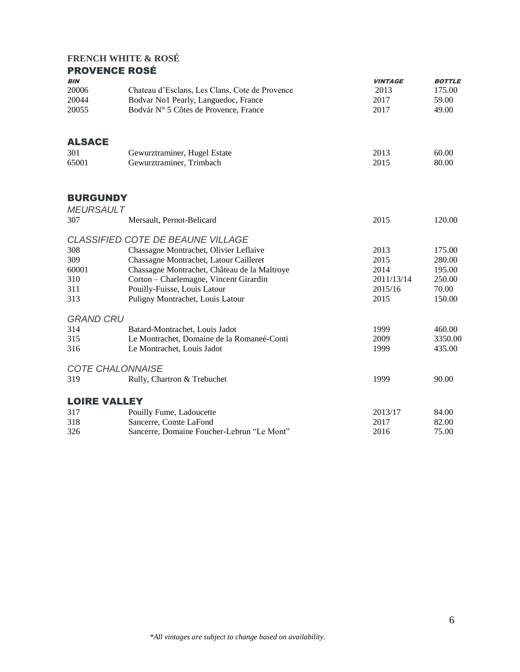### **FRENCH WHITE & ROSÉ** PROVENCE ROSÉ

| <b>BIN</b>          |                                                | <b>VINTAGE</b> | <b>BOTTLE</b> |
|---------------------|------------------------------------------------|----------------|---------------|
| 20006               | Chateau d'Esclans, Les Clans, Cote de Provence | 2013           | 175.00        |
| 20044               | Bodvar No1 Pearly, Languedoc, France           | 2017           | 59.00         |
| 20055               | Bodvár Nº 5 Côtes de Provence, France          | 2017           | 49.00         |
| <b>ALSACE</b>       |                                                |                |               |
| 301                 | Gewurztraminer, Hugel Estate                   | 2013           | 60.00         |
| 65001               | Gewurztraminer, Trimbach                       | 2015           | 80.00         |
|                     |                                                |                |               |
| <b>BURGUNDY</b>     |                                                |                |               |
| <b>MEURSAULT</b>    |                                                |                |               |
| 307                 | Mersault, Pernot-Belicard                      | 2015           | 120.00        |
|                     | <b>CLASSIFIED COTE DE BEAUNE VILLAGE</b>       |                |               |
| 308                 | Chassagne Montrachet, Olivier Leflaive         | 2013           | 175.00        |
| 309                 | Chassagne Montrachet, Latour Cailleret         | 2015           | 280.00        |
| 60001               | Chassagne Montrachet, Château de la Maltroye   | 2014           | 195.00        |
| 310                 | Corton - Charlemagne, Vincent Girardin         | 2011/13/14     | 250.00        |
| 311                 | Pouilly-Fuisse, Louis Latour                   | 2015/16        | 70.00         |
| 313                 | Puligny Montrachet, Louis Latour               | 2015           | 150.00        |
| <b>GRAND CRU</b>    |                                                |                |               |
| 314                 | Batard-Montrachet, Louis Jadot                 | 1999           | 460.00        |
| 315                 | Le Montrachet, Domaine de la Romaneé-Conti     | 2009           | 3350.00       |
| 316                 | Le Montrachet, Louis Jadot                     | 1999           | 435.00        |
|                     | <b>COTE CHALONNAISE</b>                        |                |               |
| 319                 | Rully, Chartron & Trebuchet                    | 1999           | 90.00         |
| <b>LOIRE VALLEY</b> |                                                |                |               |
| 317                 | Pouilly Fume, Ladoucette                       | 2013/17        | 84.00         |
| 318                 | Sancerre, Comte LaFond                         | 2017           | 82.00         |
| 326                 | Sancerre, Domaine Foucher-Lebrun "Le Mont"     | 2016           | 75.00         |
|                     |                                                |                |               |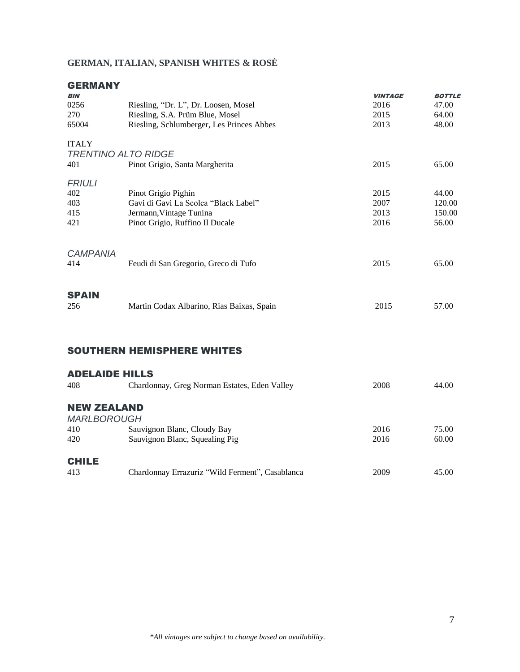# **GERMAN, ITALIAN, SPANISH WHITES & ROSÈ**

# GERMANY

| <b>BIN</b>      |                                           | <b>VINTAGE</b> | <b>BOTTLE</b> |
|-----------------|-------------------------------------------|----------------|---------------|
| 0256            | Riesling, "Dr. L", Dr. Loosen, Mosel      | 2016           | 47.00         |
| 270             | Riesling, S.A. Prüm Blue, Mosel           | 2015           | 64.00         |
| 65004           | Riesling, Schlumberger, Les Princes Abbes | 2013           | 48.00         |
| <b>ITALY</b>    |                                           |                |               |
|                 | <b>TRENTINO ALTO RIDGE</b>                |                |               |
| 401             | Pinot Grigio, Santa Margherita            | 2015           | 65.00         |
| <b>FRIULI</b>   |                                           |                |               |
| 402             | Pinot Grigio Pighin                       | 2015           | 44.00         |
| 403             | Gavi di Gavi La Scolca "Black Label"      | 2007           | 120.00        |
| 415             | Jermann, Vintage Tunina                   | 2013           | 150.00        |
| 421             | Pinot Grigio, Ruffino Il Ducale           | 2016           | 56.00         |
| <b>CAMPANIA</b> |                                           |                |               |
| 414             | Feudi di San Gregorio, Greco di Tufo      | 2015           | 65.00         |
|                 |                                           |                |               |
| <b>SPAIN</b>    |                                           |                |               |
| 256             | Martin Codax Albarino, Rias Baixas, Spain | 2015           | 57.00         |

### SOUTHERN HEMISPHERE WHITES

#### ADELAIDE HILLS

| 408                | Chardonnay, Greg Norman Estates, Eden Valley    | 2008 | 44.00 |
|--------------------|-------------------------------------------------|------|-------|
| <b>NEW ZEALAND</b> |                                                 |      |       |
| <b>MARLBOROUGH</b> |                                                 |      |       |
| 410                | Sauvignon Blanc, Cloudy Bay                     | 2016 | 75.00 |
| 420                | Sauvignon Blanc, Squealing Pig                  | 2016 | 60.00 |
|                    |                                                 |      |       |
| <b>CHILE</b>       |                                                 |      |       |
| 413                | Chardonnay Errazuriz "Wild Ferment", Casablanca | 2009 | 45.00 |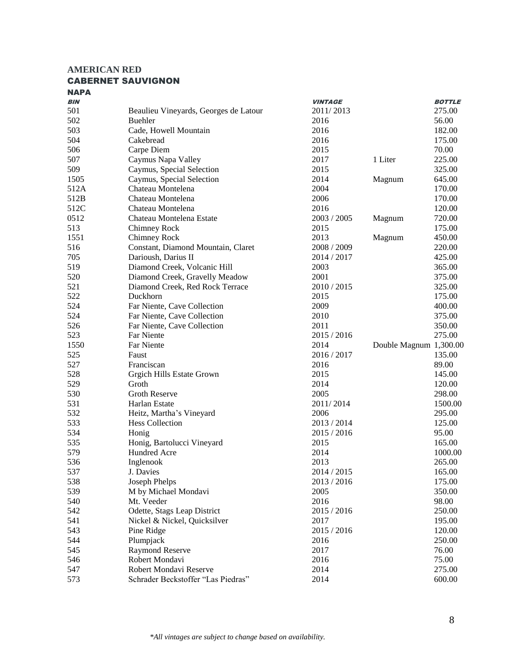#### **AMERICAN RED** CABERNET SAUVIGNON

| BIN  |                                       | <b>VINTAGE</b> |                        | <b>BOTTLE</b> |
|------|---------------------------------------|----------------|------------------------|---------------|
| 501  | Beaulieu Vineyards, Georges de Latour | 2011/2013      |                        | 275.00        |
| 502  | <b>Buehler</b>                        | 2016           |                        | 56.00         |
| 503  | Cade, Howell Mountain                 | 2016           |                        | 182.00        |
| 504  | Cakebread                             | 2016           |                        | 175.00        |
| 506  | Carpe Diem                            | 2015           |                        | 70.00         |
| 507  | Caymus Napa Valley                    | 2017           | 1 Liter                | 225.00        |
| 509  | Caymus, Special Selection             | 2015           |                        | 325.00        |
| 1505 | Caymus, Special Selection             | 2014           | Magnum                 | 645.00        |
| 512A | Chateau Montelena                     | 2004           |                        | 170.00        |
| 512B | Chateau Montelena                     | 2006           |                        | 170.00        |
| 512C | Chateau Montelena                     | 2016           |                        | 120.00        |
| 0512 | Chateau Montelena Estate              | 2003 / 2005    | Magnum                 | 720.00        |
| 513  | Chimney Rock                          | 2015           |                        | 175.00        |
| 1551 | Chimney Rock                          | 2013           | Magnum                 | 450.00        |
| 516  | Constant, Diamond Mountain, Claret    | 2008 / 2009    |                        | 220.00        |
| 705  | Darioush, Darius II                   | 2014 / 2017    |                        | 425.00        |
| 519  | Diamond Creek, Volcanic Hill          | 2003           |                        | 365.00        |
| 520  | Diamond Creek, Gravelly Meadow        | 2001           |                        | 375.00        |
| 521  | Diamond Creek, Red Rock Terrace       | 2010/2015      |                        | 325.00        |
| 522  | Duckhorn                              | 2015           |                        | 175.00        |
| 524  | Far Niente, Cave Collection           | 2009           |                        | 400.00        |
| 524  | Far Niente, Cave Collection           | 2010           |                        | 375.00        |
| 526  | Far Niente, Cave Collection           | 2011           |                        | 350.00        |
| 523  | Far Niente                            | 2015 / 2016    |                        | 275.00        |
| 1550 | <b>Far Niente</b>                     | 2014           | Double Magnum 1,300.00 |               |
| 525  | Faust                                 | 2016/2017      |                        | 135.00        |
| 527  | Franciscan                            | 2016           |                        | 89.00         |
| 528  | Grgich Hills Estate Grown             | 2015           |                        | 145.00        |
| 529  | Groth                                 | 2014           |                        | 120.00        |
| 530  | <b>Groth Reserve</b>                  | 2005           |                        | 298.00        |
| 531  | Harlan Estate                         | 2011/2014      |                        | 1500.00       |
| 532  | Heitz, Martha's Vineyard              | 2006           |                        | 295.00        |
| 533  | <b>Hess Collection</b>                | 2013/2014      |                        | 125.00        |
| 534  | Honig                                 | 2015 / 2016    |                        | 95.00         |
| 535  | Honig, Bartolucci Vineyard            | 2015           |                        | 165.00        |
| 579  | Hundred Acre                          | 2014           |                        | 1000.00       |
| 536  | Inglenook                             | 2013           |                        | 265.00        |
| 537  | J. Davies                             | 2014 / 2015    |                        | 165.00        |
| 538  | Joseph Phelps                         | 2013/2016      |                        | 175.00        |
| 539  | M by Michael Mondavi                  | 2005           |                        | 350.00        |
| 540  | Mt. Veeder                            | 2016           |                        | 98.00         |
| 542  | Odette, Stags Leap District           | 2015 / 2016    |                        | 250.00        |
| 541  | Nickel & Nickel, Quicksilver          | 2017           |                        | 195.00        |
| 543  | Pine Ridge                            | 2015 / 2016    |                        | 120.00        |
| 544  | Plumpjack                             | 2016           |                        | 250.00        |
| 545  | <b>Raymond Reserve</b>                | 2017           |                        | 76.00         |
| 546  | Robert Mondavi                        | 2016           |                        | 75.00         |
| 547  | Robert Mondavi Reserve                | 2014           |                        | 275.00        |
| 573  | Schrader Beckstoffer "Las Piedras"    | 2014           |                        | 600.00        |
|      |                                       |                |                        |               |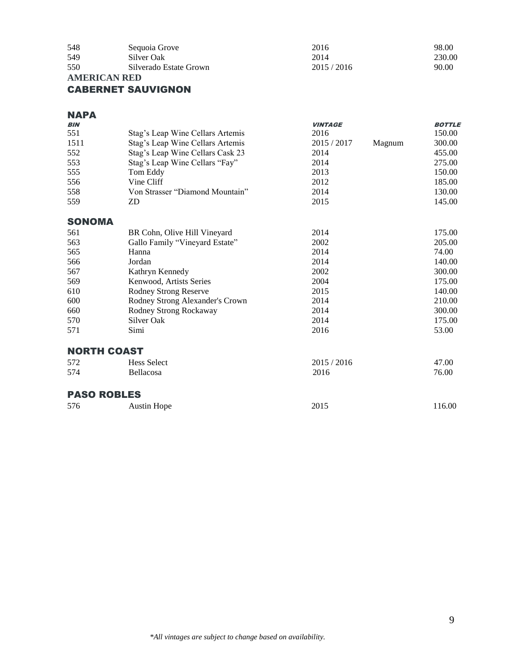| 548 | Sequoia Grove          | 2016      | 98.00  |
|-----|------------------------|-----------|--------|
| 549 | Silver Oak             | 2014      | 230.00 |
| 550 | Silverado Estate Grown | 2015/2016 | 90.00  |

#### **AMERICAN RED**

# CABERNET SAUVIGNON

| <b>NAPA</b> |                                                                                   |                |               |
|-------------|-----------------------------------------------------------------------------------|----------------|---------------|
| <b>BIN</b>  |                                                                                   | <b>VINTAGE</b> | <b>BOTTLE</b> |
| 551         | $C_{\text{max}} = 1$ and $W_{\text{max}}^{\text{max}} C_{\text{max}}$ Association | 2016           | $1.50~\Omega$ |

| 551           | Stag's Leap Wine Cellars Artemis | 2016        |        | 150.00 |
|---------------|----------------------------------|-------------|--------|--------|
| 1511          | Stag's Leap Wine Cellars Artemis | 2015 / 2017 | Magnum | 300.00 |
| 552           | Stag's Leap Wine Cellars Cask 23 | 2014        |        | 455.00 |
| 553           | Stag's Leap Wine Cellars "Fay"   | 2014        |        | 275.00 |
| 555           | Tom Eddy                         | 2013        |        | 150.00 |
| 556           | Vine Cliff                       | 2012        |        | 185.00 |
| 558           | Von Strasser "Diamond Mountain"  | 2014        |        | 130.00 |
| 559           | ZD                               | 2015        |        | 145.00 |
| <b>SONOMA</b> |                                  |             |        |        |
| 561           | BR Cohn, Olive Hill Vineyard     | 2014        |        | 175.00 |
| 563           | Gallo Family "Vineyard Estate"   | 2002        |        | 205.00 |
| 565           | Hanna                            | 2014        |        | 74.00  |
| 566           | Jordan                           | 2014        |        | 140.00 |
| 567           | Kathryn Kennedy                  | 2002        |        | 300.00 |
| 569           | Kenwood, Artists Series          | 2004        |        | 175.00 |
| 610           | Rodney Strong Reserve            | 2015        |        | 140.00 |
| 600           | Rodney Strong Alexander's Crown  | 2014        |        | 210.00 |
| 660           | Rodney Strong Rockaway           | 2014        |        | 300.00 |
| 570           | Silver Oak                       | 2014        |        | 175.00 |
| 571           | Simi                             | 2016        |        | 53.00  |
|               |                                  |             |        |        |

#### NORTH COAST

| ---------- |                    |           |       |
|------------|--------------------|-----------|-------|
| 572        | <b>Hess Select</b> | 2015/2016 | 47.00 |
| 574        | <b>Bellacosa</b>   | 2016      | 76.00 |
|            |                    |           |       |

# PASO ROBLES

| 576<br>2015<br>Austin Hope |  |        |
|----------------------------|--|--------|
|                            |  | 116.00 |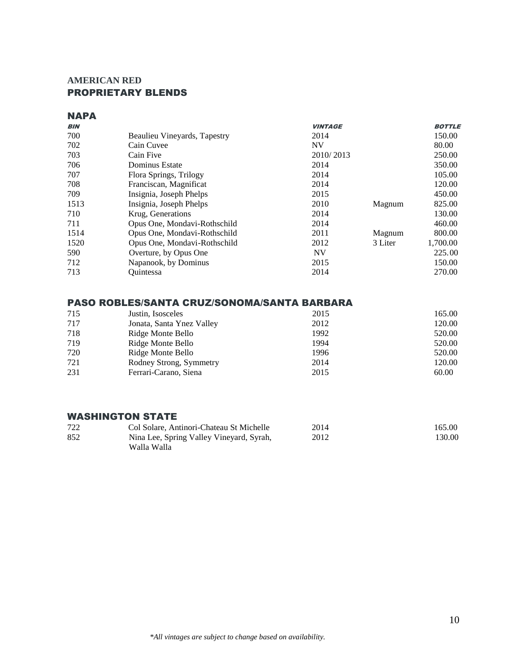# **AMERICAN RED** PROPRIETARY BLENDS

# **NAPA**

| <b>BIN</b> |                              | <b>VINTAGE</b> |         | <b>BOTTLE</b> |
|------------|------------------------------|----------------|---------|---------------|
| 700        | Beaulieu Vineyards, Tapestry | 2014           |         | 150.00        |
| 702        | Cain Cuvee                   | <b>NV</b>      |         | 80.00         |
| 703        | Cain Five                    | 2010/2013      |         | 250.00        |
| 706        | Dominus Estate               | 2014           |         | 350.00        |
| 707        | Flora Springs, Trilogy       | 2014           |         | 105.00        |
| 708        | Franciscan, Magnificat       | 2014           |         | 120.00        |
| 709        | Insignia, Joseph Phelps      | 2015           |         | 450.00        |
| 1513       | Insignia, Joseph Phelps      | 2010           | Magnum  | 825.00        |
| 710        | Krug, Generations            | 2014           |         | 130.00        |
| 711        | Opus One, Mondavi-Rothschild | 2014           |         | 460.00        |
| 1514       | Opus One, Mondavi-Rothschild | 2011           | Magnum  | 800.00        |
| 1520       | Opus One, Mondavi-Rothschild | 2012           | 3 Liter | 1,700.00      |
| 590        | Overture, by Opus One        | <b>NV</b>      |         | 225.00        |
| 712        | Napanook, by Dominus         | 2015           |         | 150.00        |
| 713        | Ouintessa                    | 2014           |         | 270.00        |
|            |                              |                |         |               |

# PASO ROBLES/SANTA CRUZ/SONOMA/SANTA BARBARA

| 715 | Justin, Isosceles         | 2015 | 165.00 |
|-----|---------------------------|------|--------|
| 717 | Jonata, Santa Ynez Valley | 2012 | 120.00 |
| 718 | Ridge Monte Bello         | 1992 | 520.00 |
| 719 | Ridge Monte Bello         | 1994 | 520.00 |
| 720 | Ridge Monte Bello         | 1996 | 520.00 |
| 721 | Rodney Strong, Symmetry   | 2014 | 120.00 |
| 231 | Ferrari-Carano, Siena     | 2015 | 60.00  |

# WASHINGTON STATE

| 722 | Col Solare, Antinori-Chateau St Michelle | 2014 | 165.00 |
|-----|------------------------------------------|------|--------|
| 852 | Nina Lee, Spring Valley Vineyard, Syrah, | 2012 | 130.00 |
|     | Walla Walla                              |      |        |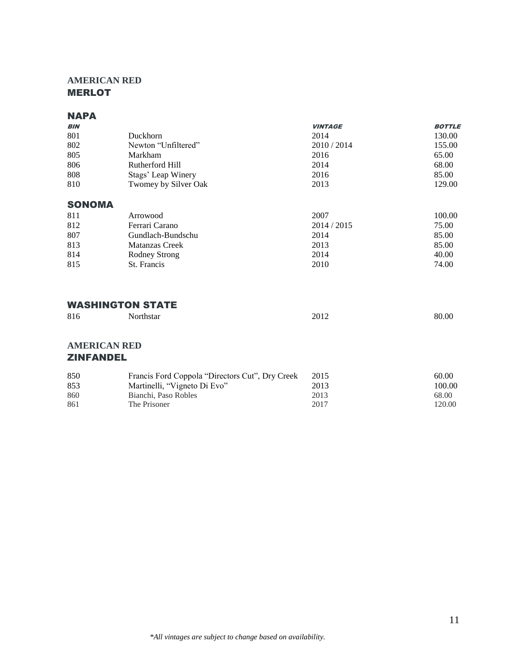# **AMERICAN RED** MERLOT

## **NAPA**

|                       | <b>VINTAGE</b> | <b>BOTTLE</b> |
|-----------------------|----------------|---------------|
| <b>Duckhorn</b>       | 2014           | 130.00        |
| Newton "Unfiltered"   | 2010/2014      | 155.00        |
| Markham               | 2016           | 65.00         |
| Rutherford Hill       | 2014           | 68.00         |
| Stags' Leap Winery    | 2016           | 85.00         |
| Twomey by Silver Oak  | 2013           | 129.00        |
| <b>SONOMA</b>         |                |               |
| Arrowood              | 2007           | 100.00        |
| Ferrari Carano        | 2014/2015      | 75.00         |
| Gundlach-Bundschu     | 2014           | 85.00         |
| <b>Matanzas Creek</b> | 2013           | 85.00         |
| Rodney Strong         | 2014           | 40.00         |
| St. Francis           | 2010           | 74.00         |
|                       |                |               |

# WASHINGTON STATE

| 816 | Northstar | 2012 | 80.00 |
|-----|-----------|------|-------|
|     |           |      |       |

### **AMERICAN RED** ZINFANDEL

| 850  | Francis Ford Coppola "Directors Cut", Dry Creek | 2015 | 60.00  |
|------|-------------------------------------------------|------|--------|
| 853  | Martinelli, "Vigneto Di Evo"                    | 2013 | 100.00 |
| 860  | Bianchi, Paso Robles                            | 2013 | 68.00  |
| -861 | The Prisoner                                    | 2017 | 120.00 |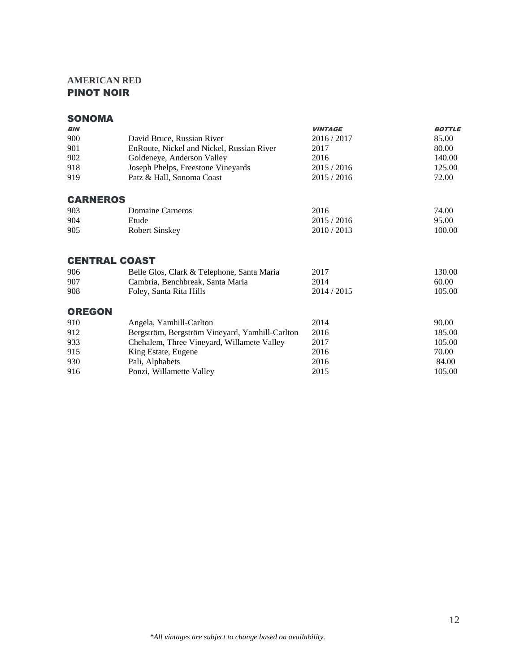# **AMERICAN RED** PINOT NOIR

# SONOMA

| <b>BIN</b>      |                                                | <b>VINTAGE</b> | <b>BOTTLE</b> |
|-----------------|------------------------------------------------|----------------|---------------|
| 900             | David Bruce, Russian River                     | 2016/2017      | 85.00         |
| 901             | EnRoute, Nickel and Nickel, Russian River      | 2017           | 80.00         |
| 902             | Goldeneye, Anderson Valley                     | 2016           | 140.00        |
| 918             | Joseph Phelps, Freestone Vineyards             | 2015 / 2016    | 125.00        |
| 919             | Patz & Hall, Sonoma Coast                      | 2015/2016      | 72.00         |
| <b>CARNEROS</b> |                                                |                |               |
| 903             | Domaine Carneros                               | 2016           | 74.00         |
| 904             | Etude                                          | 2015/2016      | 95.00         |
| 905             | <b>Robert Sinskey</b>                          | 2010/2013      | 100.00        |
|                 | <b>CENTRAL COAST</b>                           |                |               |
| 906             | Belle Glos, Clark & Telephone, Santa Maria     | 2017           | 130.00        |
| 907             | Cambria, Benchbreak, Santa Maria               | 2014           | 60.00         |
| 908             | Foley, Santa Rita Hills                        | 2014 / 2015    | 105.00        |
| <b>OREGON</b>   |                                                |                |               |
| 910             | Angela, Yamhill-Carlton                        | 2014           | 90.00         |
| 912             | Bergström, Bergström Vineyard, Yamhill-Carlton | 2016           | 185.00        |
| 933             | Chehalem, Three Vineyard, Willamete Valley     | 2017           | 105.00        |
| 915             | King Estate, Eugene                            | 2016           | 70.00         |
| 930             | Pali, Alphabets                                | 2016           | 84.00         |
| 916             | Ponzi, Willamette Valley                       | 2015           | 105.00        |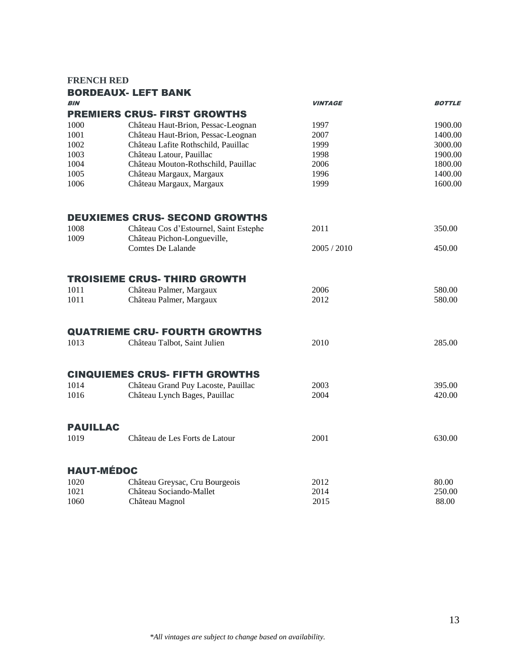### **FRENCH RED**

|                   | <b>BORDEAUX- LEFT BANK</b>                                            |                |               |
|-------------------|-----------------------------------------------------------------------|----------------|---------------|
| <b>BIN</b>        |                                                                       | <b>VINTAGE</b> | <b>BOTTLE</b> |
|                   | <b>PREMIERS CRUS- FIRST GROWTHS</b>                                   |                |               |
| 1000              | Château Haut-Brion, Pessac-Leognan                                    | 1997           | 1900.00       |
| 1001              | Château Haut-Brion, Pessac-Leognan                                    | 2007           | 1400.00       |
| 1002              | Château Lafite Rothschild, Pauillac                                   | 1999           | 3000.00       |
| 1003              | Château Latour, Pauillac                                              | 1998           | 1900.00       |
| 1004              | Château Mouton-Rothschild, Pauillac                                   | 2006           | 1800.00       |
| 1005              | Château Margaux, Margaux                                              | 1996           | 1400.00       |
| 1006              | Château Margaux, Margaux                                              | 1999           | 1600.00       |
|                   | <b>DEUXIEMES CRUS- SECOND GROWTHS</b>                                 |                |               |
| 1008<br>1009      | Château Cos d'Estournel, Saint Estephe<br>Château Pichon-Longueville, | 2011           | 350.00        |
|                   | Comtes De Lalande                                                     | 2005 / 2010    | 450.00        |
|                   | <b>TROISIEME CRUS- THIRD GROWTH</b>                                   |                |               |
| 1011              | Château Palmer, Margaux                                               | 2006           | 580.00        |
| 1011              | Château Palmer, Margaux                                               | 2012           | 580.00        |
|                   | <b>QUATRIEME CRU- FOURTH GROWTHS</b>                                  |                |               |
| 1013              | Château Talbot, Saint Julien                                          | 2010           | 285.00        |
|                   | <b>CINQUIEMES CRUS- FIFTH GROWTHS</b>                                 |                |               |
| 1014              | Château Grand Puy Lacoste, Pauillac                                   | 2003           | 395.00        |
| 1016              | Château Lynch Bages, Pauillac                                         | 2004           | 420.00        |
| <b>PAUILLAC</b>   |                                                                       |                |               |
| 1019              | Château de Les Forts de Latour                                        | 2001           | 630.00        |
| <b>HAUT-MÉDOC</b> |                                                                       |                |               |
| 1020              | Château Greysac, Cru Bourgeois                                        | 2012           | 80.00         |
| 1021              | Château Sociando-Mallet                                               | 2014           | 250.00        |
| 1060              | Château Magnol                                                        | 2015           | 88.00         |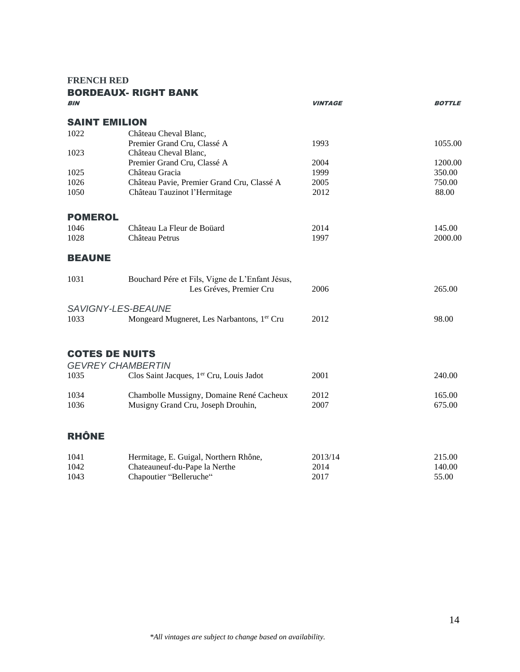**FRENCH RED**

| <b>BIN</b>            | <b>BORDEAUX- RIGHT BANK</b>                     | <b>VINTAGE</b> | <b>BOTTLE</b> |
|-----------------------|-------------------------------------------------|----------------|---------------|
|                       |                                                 |                |               |
| <b>SAINT EMILION</b>  |                                                 |                |               |
| 1022                  | Château Cheval Blanc,                           |                |               |
|                       | Premier Grand Cru, Classé A                     | 1993           | 1055.00       |
| 1023                  | Château Cheval Blanc,                           |                |               |
|                       | Premier Grand Cru, Classé A                     | 2004           | 1200.00       |
| 1025                  | Château Gracia                                  | 1999           | 350.00        |
| 1026                  | Château Pavie, Premier Grand Cru, Classé A      | 2005           | 750.00        |
| 1050                  | Château Tauzinot l'Hermitage                    | 2012           | 88.00         |
| <b>POMEROL</b>        |                                                 |                |               |
| 1046                  | Château La Fleur de Boüard                      | 2014           | 145.00        |
| 1028                  | Château Petrus                                  | 1997           | 2000.00       |
|                       |                                                 |                |               |
| <b>BEAUNE</b>         |                                                 |                |               |
| 1031                  | Bouchard Pére et Fils, Vigne de L'Enfant Jésus, |                |               |
|                       | Les Gréves, Premier Cru                         | 2006           | 265.00        |
|                       | SAVIGNY-LES-BEAUNE                              |                |               |
| 1033                  | Mongeard Mugneret, Les Narbantons, 1er Cru      | 2012           | 98.00         |
|                       |                                                 |                |               |
|                       |                                                 |                |               |
| <b>COTES DE NUITS</b> |                                                 |                |               |
|                       | <b>GEVREY CHAMBERTIN</b>                        |                |               |
| 1035                  | Clos Saint Jacques, 1er Cru, Louis Jadot        | 2001           | 240.00        |
| 1034                  | Chambolle Mussigny, Domaine René Cacheux        | 2012           | 165.00        |
| 1036                  | Musigny Grand Cru, Joseph Drouhin,              | 2007           | 675.00        |
|                       |                                                 |                |               |
| <b>RHÔNE</b>          |                                                 |                |               |
| 1041                  | Hermitage, E. Guigal, Northern Rhône,           | 2013/14        | 215.00        |
| 1042                  | Chateauneuf-du-Pape la Nerthe                   | 2014           | 140.00        |
| 1043                  | Chapoutier "Belleruche"                         | 2017           | 55.00         |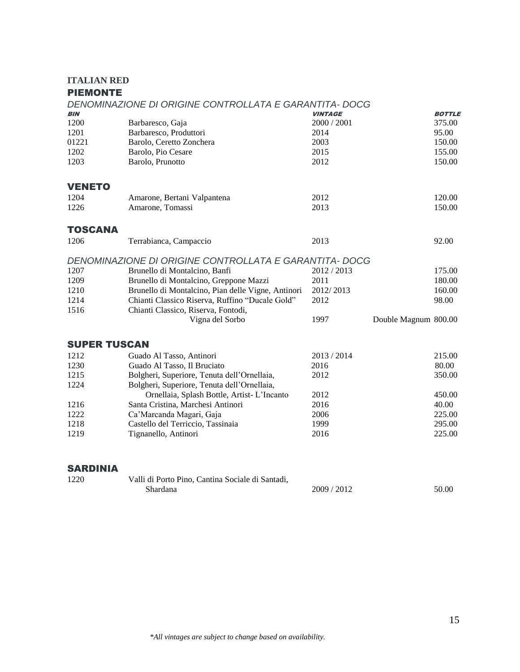## **ITALIAN RED**

# **DIEMONTE**

| FIEMUN I E          |                                                        |                |                      |               |
|---------------------|--------------------------------------------------------|----------------|----------------------|---------------|
|                     | DENOMINAZIONE DI ORIGINE CONTROLLATA E GARANTITA- DOCG |                |                      |               |
| <b>BIN</b>          |                                                        | <b>VINTAGE</b> |                      | <b>BOTTLE</b> |
| 1200                | Barbaresco, Gaja                                       | 2000 / 2001    |                      | 375.00        |
| 1201                | Barbaresco, Produttori                                 | 2014           |                      | 95.00         |
| 01221               | Barolo, Ceretto Zonchera                               | 2003           |                      | 150.00        |
| 1202                | Barolo, Pio Cesare                                     | 2015           |                      | 155.00        |
| 1203                | Barolo, Prunotto                                       | 2012           |                      | 150.00        |
| <b>VENETO</b>       |                                                        |                |                      |               |
| 1204                | Amarone, Bertani Valpantena                            | 2012           |                      | 120.00        |
| 1226                | Amarone, Tomassi                                       | 2013           |                      | 150.00        |
| <b>TOSCANA</b>      |                                                        |                |                      |               |
| 1206                | Terrabianca, Campaccio                                 | 2013           |                      | 92.00         |
|                     | DENOMINAZIONE DI ORIGINE CONTROLLATA E GARANTITA- DOCG |                |                      |               |
| 1207                | Brunello di Montalcino, Banfi                          | 2012 / 2013    |                      | 175.00        |
| 1209                | Brunello di Montalcino, Greppone Mazzi                 | 2011           |                      | 180.00        |
| 1210                | Brunello di Montalcino, Pian delle Vigne, Antinori     | 2012/2013      |                      | 160.00        |
| 1214                | Chianti Classico Riserva, Ruffino "Ducale Gold"        | 2012           |                      | 98.00         |
| 1516                | Chianti Classico, Riserva, Fontodi,                    |                |                      |               |
|                     | Vigna del Sorbo                                        | 1997           | Double Magnum 800.00 |               |
| <b>SUPER TUSCAN</b> |                                                        |                |                      |               |
| 1212                | Guado Al Tasso, Antinori                               | 2013 / 2014    |                      | 215.00        |
| 1230                | Guado Al Tasso, Il Bruciato                            | 2016           |                      | 80.00         |
| 1215                | Bolgheri, Superiore, Tenuta dell'Ornellaia,            | 2012           |                      | 350.00        |
| 1224                | Bolgheri, Superiore, Tenuta dell'Ornellaia,            |                |                      |               |
|                     | Ornellaia, Splash Bottle, Artist-L'Incanto             | 2012           |                      | 450.00        |
| 1216                | Santa Cristina, Marchesi Antinori                      | 2016           |                      | 40.00         |
| 1222                | Ca'Marcanda Magari, Gaja                               | 2006           |                      | 225.00        |
| 1218                | Castello del Terriccio, Tassinaia                      | 1999           |                      | 295.00        |
| 1219                | Tignanello, Antinori                                   | 2016           |                      | 225.00        |
|                     |                                                        |                |                      |               |
| <b>SARDINIA</b>     |                                                        |                |                      |               |
| 1220                | Valli di Porto Pino, Cantina Sociale di Santadi,       |                |                      |               |

Shardana 2009 / 2012 50.00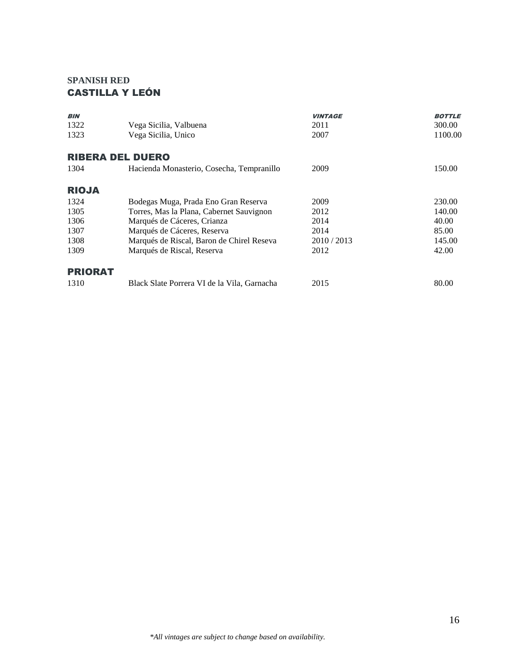# **SPANISH RED** CASTILLA Y LEÓN

| <b>BIN</b>     |                                             | <b>VINTAGE</b> | <b>BOTTLE</b> |
|----------------|---------------------------------------------|----------------|---------------|
| 1322           | Vega Sicilia, Valbuena                      | 2011           | 300.00        |
| 1323           | Vega Sicilia, Unico                         | 2007           | 1100.00       |
|                | <b>RIBERA DEL DUERO</b>                     |                |               |
| 1304           | Hacienda Monasterio, Cosecha, Tempranillo   | 2009           | 150.00        |
| <b>RIOJA</b>   |                                             |                |               |
| 1324           | Bodegas Muga, Prada Eno Gran Reserva        | 2009           | 230.00        |
| 1305           | Torres, Mas la Plana, Cabernet Sauvignon    | 2012           | 140.00        |
| 1306           | Marqués de Cáceres, Crianza                 | 2014           | 40.00         |
| 1307           | Marqués de Cáceres, Reserva                 | 2014           | 85.00         |
| 1308           | Marqués de Riscal, Baron de Chirel Reseva   | 2010 / 2013    | 145.00        |
| 1309           | Marqués de Riscal, Reserva                  | 2012           | 42.00         |
| <b>PRIORAT</b> |                                             |                |               |
| 1310           | Black Slate Porrera VI de la Vila, Garnacha | 2015           | 80.00         |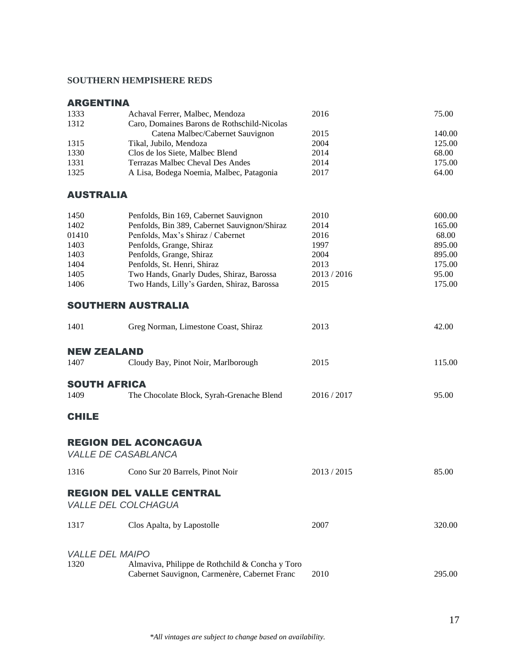## **SOUTHERN HEMPISHERE REDS**

| <b>ARGENTINA</b>   |                                                                                                  |           |        |
|--------------------|--------------------------------------------------------------------------------------------------|-----------|--------|
| 1333               | Achaval Ferrer, Malbec, Mendoza                                                                  | 2016      | 75.00  |
| 1312               | Caro, Domaines Barons de Rothschild-Nicolas                                                      |           |        |
|                    | Catena Malbec/Cabernet Sauvignon                                                                 | 2015      | 140.00 |
| 1315               | Tikal, Jubilo, Mendoza                                                                           | 2004      | 125.00 |
| 1330               | Clos de los Siete, Malbec Blend                                                                  | 2014      | 68.00  |
| 1331               | Terrazas Malbec Cheval Des Andes                                                                 | 2014      | 175.00 |
| 1325               | A Lisa, Bodega Noemia, Malbec, Patagonia                                                         | 2017      | 64.00  |
| <b>AUSTRALIA</b>   |                                                                                                  |           |        |
| 1450               | Penfolds, Bin 169, Cabernet Sauvignon                                                            | 2010      | 600.00 |
| 1402               | Penfolds, Bin 389, Cabernet Sauvignon/Shiraz                                                     | 2014      | 165.00 |
| 01410              | Penfolds, Max's Shiraz / Cabernet                                                                | 2016      | 68.00  |
| 1403               | Penfolds, Grange, Shiraz                                                                         | 1997      | 895.00 |
| 1403               | Penfolds, Grange, Shiraz                                                                         | 2004      | 895.00 |
| 1404               | Penfolds, St. Henri, Shiraz                                                                      | 2013      | 175.00 |
| 1405               | Two Hands, Gnarly Dudes, Shiraz, Barossa                                                         | 2013/2016 | 95.00  |
| 1406               | Two Hands, Lilly's Garden, Shiraz, Barossa                                                       | 2015      | 175.00 |
|                    | <b>SOUTHERN AUSTRALIA</b>                                                                        |           |        |
| 1401               | Greg Norman, Limestone Coast, Shiraz                                                             | 2013      | 42.00  |
| <b>NEW ZEALAND</b> |                                                                                                  |           |        |
| 1407               | Cloudy Bay, Pinot Noir, Marlborough                                                              | 2015      | 115.00 |
|                    | <b>SOUTH AFRICA</b>                                                                              |           |        |
| 1409               | The Chocolate Block, Syrah-Grenache Blend                                                        | 2016/2017 | 95.00  |
|                    |                                                                                                  |           |        |
| <b>CHILE</b>       |                                                                                                  |           |        |
|                    | <b>REGION DEL ACONCAGUA</b><br><b>VALLE DE CASABLANCA</b>                                        |           |        |
| 1316               | Cono Sur 20 Barrels, Pinot Noir                                                                  | 2013/2015 | 85.00  |
|                    |                                                                                                  |           |        |
|                    | <b>REGION DEL VALLE CENTRAL</b><br><b>VALLE DEL COLCHAGUA</b>                                    |           |        |
| 1317               | Clos Apalta, by Lapostolle                                                                       | 2007      | 320.00 |
|                    | <b>VALLE DEL MAIPO</b>                                                                           |           |        |
| 1320               | Almaviva, Philippe de Rothchild & Concha y Toro<br>Cabernet Sauvignon, Carmenère, Cabernet Franc | 2010      | 295.00 |